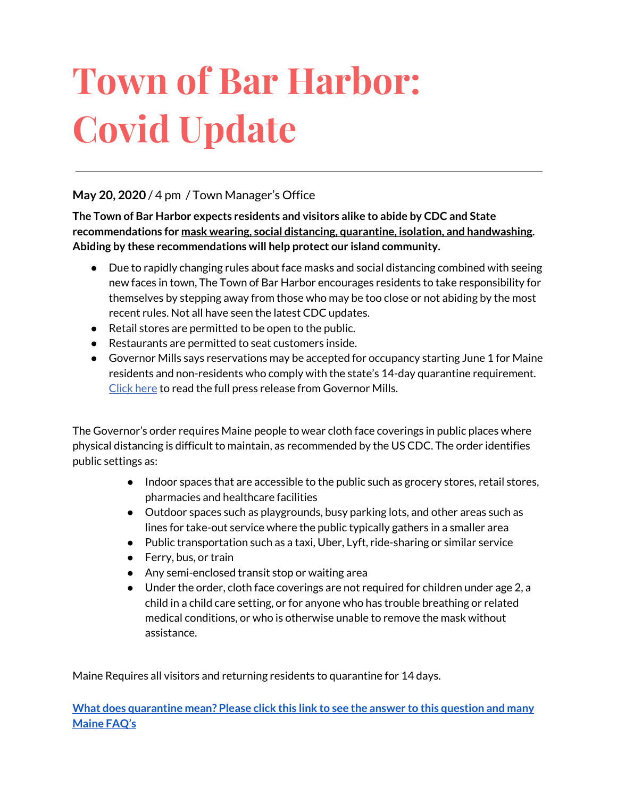# **Town of Bar Harbor: Covid Update**

#### **May 20, 2020** / 4 pm / Town Manager's Office

**The Town of Bar Harbor expects residents and visitors alike to abide by CDC and State recommendations for mask wearing, social distancing, quarantine, isolation, and handwashing. Abiding by these recommendations will help protect our island community.**

- Due to rapidly changing rules about face masks and social distancing combined with seeing new faces in town, The Town of Bar Harbor encourages residents to take responsibility for themselves by stepping away from those who may be too close or not abiding by the most recent rules. Not all have seen the latest CDC updates.
- Retail stores are permitted to be open to the public.
- Restaurants are permitted to seat customers inside.
- Governor Mills says reservations may be accepted for occupancy starting June 1 for Maine residents and non-residents who comply with the state's 14-day quarantine requirement. [Click](http://r20.rs6.net/tn.jsp?f=001gB9til_fx4w7nvjzESddOn4bZaqAGzdDyIEy097v0dBYqPQcdjRepSlWubnJiliWykVd8xltfaA07f9BQ6xv5ifOwJVlNMXhjETcC-rke9jDV4OkMTtHnjkRzx1qc1AuS23XwQ2XTinmFkEoRoJ4qqRZHASbTSwRwdj0F88dSeiCghSWPbPvRFWxMyVeQs3dcKQXA0O4Mh0OQTvhtXLneM1Lbxix6PjG3slQwKnkde1Du4XlY5qtouwLDMZDoF_dUQbNhztc6P7heDo42stjIA==&c=GV80uf24ip3gZvQKEozeMbyQn8nDH-DzBYaQB2SENXvHxqb8iwEK5w==&ch=C1320ou85N1eVcHVOSrS_YuBBpfyW3yMIv_-oxqFYkPp04VLTtwgVw==) here to read the full press release from Governor Mills.

The Governor's order requires Maine people to wear cloth face coverings in public places where physical distancing is difficult to maintain, as recommended by the US CDC. The order identifies public settings as:

- Indoor spaces that are accessible to the public such as grocery stores, retail stores, pharmacies and healthcare facilities
- Outdoor spaces such as playgrounds, busy parking lots, and other areas such as lines for take-out service where the public typically gathers in a smaller area
- Public transportation such as a taxi, Uber, Lyft, ride-sharing or similar service
- Ferry, bus, or train
- Any semi-enclosed transit stop or waiting area
- Under the order, cloth face coverings are not required for children under age 2, a child in a child care setting, or for anyone who has trouble breathing or related medical conditions, or who is otherwise unable to remove the mask without assistance.

Maine Requires all visitors and returning residents to quarantine for 14 days.

**What does [quarantine](https://www.maine.gov/dhhs/mecdc/infectious-disease/epi/airborne/coronavirus.shtml#faq) mean? Please click this link to see the answer to this question and many [Maine](https://www.maine.gov/dhhs/mecdc/infectious-disease/epi/airborne/coronavirus.shtml#faq) FAQ's**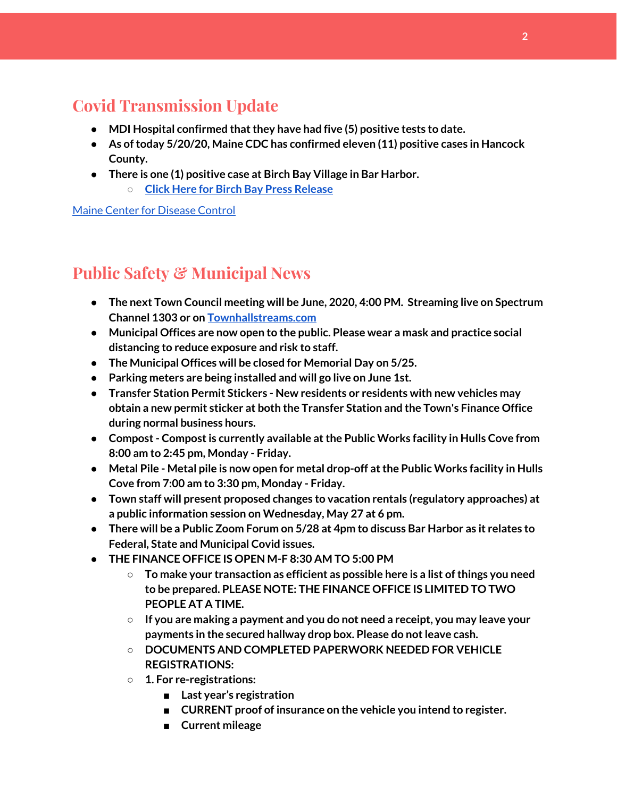# **Covid Transmission Update**

- **● MDI Hospital confirmed thatthey have had five (5) positive tests to date.**
- **● As oftoday 5/20/20, Maine CDC has confirmed eleven (11) positive cases in Hancock County.**
- **● There is one (1) positive case at Birch Bay Village in Bar Harbor.**
	- **○ Click Here for Birch Bay Press [Release](https://www.birchbayvillage.us/category/coronavirus/)**

Maine Center for [Disease](https://www.maine.gov/dhhs/mecdc/infectious-disease/epi/airborne/coronavirus.shtml) Control

# **Public Safety & Municipal News**

- **● The next Town Council meeting will be June, 2020, 4:00 PM. Streaming live on Spectrum Channel 1303 or on [Townhallstreams.com](http://townhallstreams.com/)**
- **● Municipal Offices are now open to the public. Please wear a mask and practice social distancing to reduce exposure and risk to staff.**
- **● The Municipal Offices will be closed for Memorial Day on 5/25.**
- **● Parking meters are being installed and will go live on June 1st.**
- **● Transfer Station Permit Stickers - New residents or residents with new vehicles may obtain a new permit sticker at both the Transfer Station and the Town's Finance Office during normal business hours.**
- **● Compost- Compostis currently available atthe Public Works facility in Hulls Cove from 8:00 am to 2:45 pm, Monday - Friday.**
- **● Metal Pile - Metal pile is now open for metal drop-off atthe Public Works facility in Hulls Cove from 7:00 am to 3:30 pm, Monday - Friday.**
- **● Town staff will present proposed changes to vacation rentals (regulatory approaches) at a public information session on Wednesday, May 27 at 6 pm.**
- There will be a Public Zoom Forum on  $5/28$  at 4pm to discuss Bar Harbor as it relates to **Federal, State and Municipal Covid issues.**
- **● THE FINANCE OFFICE IS OPEN M-F 8:30 AM TO 5:00 PM**
	- **○ To make your transaction as efficient as possible here is a list ofthings you need to be prepared. PLEASE NOTE: THE FINANCE OFFICE IS LIMITED TO TWO PEOPLE AT A TIME.**
	- **○ If you are making a payment and you do not need a receipt, you may leave your payments in the secured hallway drop box. Please do notleave cash.**
	- **○ DOCUMENTS AND COMPLETED PAPERWORK NEEDED FOR VEHICLE REGISTRATIONS:**
	- **○ 1. For re-registrations:**
		- **■ Last year's registration**
		- **■ CURRENT proof of insurance on the vehicle you intend to register.**
		- **■ Current mileage**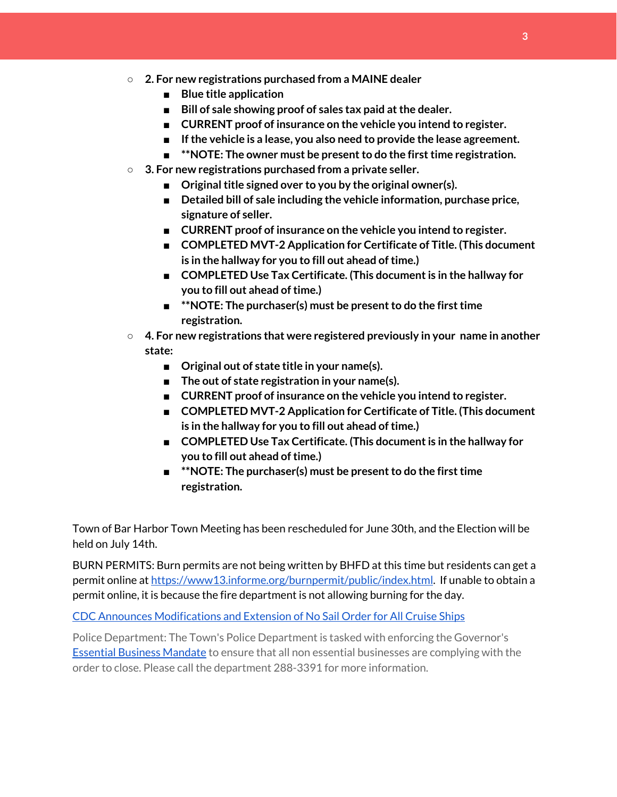- **○ 2. For new registrations purchased from a MAINE dealer**
	- **■ Blue title application**
	- **Bill** of sale showing proof of sales tax paid at the dealer.
	- **■ CURRENT proof of insurance on the vehicle you intend to register.**
	- **■ Ifthe vehicle is a lease, you also need to provide the lease agreement.**
	- **<b>\*\*NOTE:** The owner must be present to do the first time registration.
- **○ 3. For new registrations purchased from a private seller.**
	- **Original title signed over to you by the original owner(s).**
	- **■ Detailed bill of sale including the vehicle information, purchase price, signature of seller.**
	- **■ CURRENT proof of insurance on the vehicle you intend to register.**
	- **■ COMPLETED MVT-2 Application for Certificate of Title. (This document is in the hallway for you to fill out ahead oftime.)**
	- **■ COMPLETED Use Tax Certificate. (This documentis in the hallway for you to fill out ahead oftime.)**
	- $*$ **<sup>\*</sup>NOTE:** The purchaser(s) must be present to do the first time **registration.**
- **○ 4. For new registrations that were registered previously in your name in another state:**
	- **■ Original out of state title in your name(s).**
	- **■ The out of state registration in your name(s).**
	- **■ CURRENT proof of insurance on the vehicle you intend to register.**
	- **■ COMPLETED MVT-2 Application for Certificate of Title. (This document is in the hallway for you to fill out ahead oftime.)**
	- **■ COMPLETED Use Tax Certificate. (This documentis in the hallway for you to fill out ahead oftime.)**
	- **<sup>\*\*</sup>NOTE:** The purchaser(s) must be present to do the first time **registration.**

Town of Bar Harbor Town Meeting has been rescheduled for June 30th, and the Election will be held on July 14th.

BURN PERMITS: Burn permits are not being written by BHFD at this time but residents can get a permit online at [https://www13.informe.org/burnpermit/public/index.html.](https://www13.informe.org/burnpermit/public/index.html) If unable to obtain a permit online, it is because the fire department is not allowing burning for the day.

CDC Announces [Modifications](https://www.cdc.gov/media/releases/2020/s0409-modifications-extension-no-sail-ships.html) and Extension of No Sail Order for All Cruise Ships

Police Department: The Town's Police Department is tasked with enforcing the Governor's Essential Business [Mandate](https://www.maine.gov/governor/mills/sites/maine.gov.governor.mills/files/inline-files/An%20Order%20Regarding%20Essential%20Businesses%20and%20Operations%20.pdf) to ensure that all non essential businesses are complying with the order to close. Please call the department 288-3391 for more information.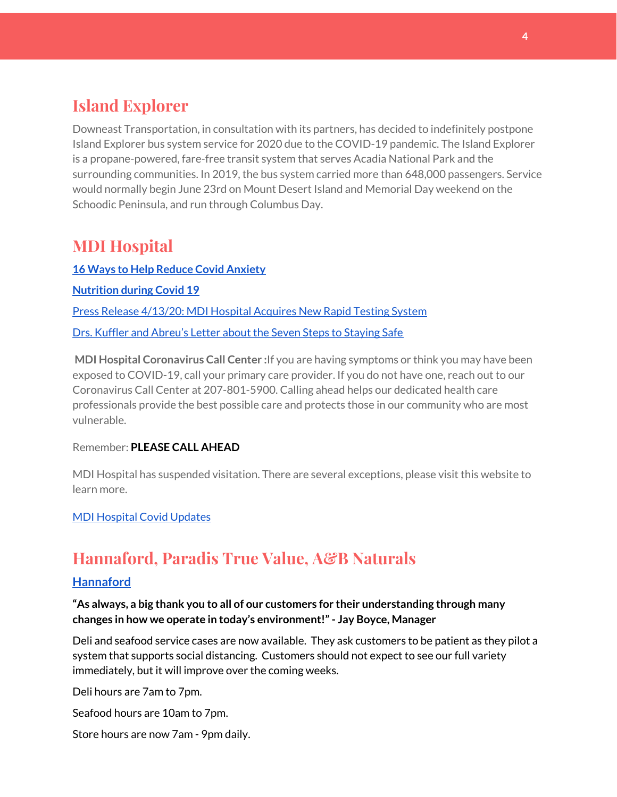## **Island Explorer**

Downeast Transportation, in consultation with its partners, has decided to indefinitely postpone Island Explorer bus system service for 2020 due to the COVID-19 pandemic. The Island Explorer is a propane-powered, fare-free transit system that serves Acadia National Park and the surrounding communities. In 2019, the bus system carried more than 648,000 passengers. Service would normally begin June 23rd on Mount Desert Island and Memorial Day weekend on the Schoodic Peninsula, and run through Columbus Day.

## **MDI Hospital**

**16 Ways to Help Reduce Covid [Anxiety](https://www.mdihospital.org/news/16-ways-to-help-reduce-covid-19-anxiety/) [Nutrition](https://www.mdihospital.org/news/16-ways-to-help-reduce-covid-19-anxiety/) during Covid 19** Press Release [4/13/20:](https://www.mdihospital.org/news/mount-desert-island-hospital-acquires-cepheid-genexpert-rapid-point-of-care-testing-system-for-the-new-coronavirus-and-many-other-infectious-diseases/) MDI Hospital Acquires New Rapid Testing System Drs. Kuffler and [Abreu's](https://www.mdislander.com/opinions/commentary-seven-steps-to-staying-safe) Letter about the Seven Steps to Staying Safe

**MDI Hospital Coronavirus Call Center :**If you are having symptoms or think you may have been exposed to COVID-19, call your primary care provider. If you do not have one, reach out to our Coronavirus Call Center at 207-801-5900. Calling ahead helps our dedicated health care professionals provide the best possible care and protects those in our community who are most vulnerable.

#### Remember: **PLEASE CALL AHEAD**

MDI Hospital has suspended visitation. There are several exceptions, please visit this website to learn more.

#### MDI [Hospital](https://www.mdihospital.org/covid-19/?fbclid=IwAR2Q31t4a6H1pxDfUeqSzFcmp5UbRlSwe93i58zEkHstfexp5EgoHB5cxGU) Covid Updates

## **Hannaford, Paradis True Value, A&B Naturals**

#### **[Hannaford](https://www.hannaford.com/locations/bar-harbor-hannaford-21051)**

**"As always, a big thank you to all of our customers for their understanding through many changes in how we operate in today's environment!"- Jay Boyce, Manager**

Deli and seafood service cases are now available. They ask customers to be patient as they pilot a system that supports social distancing. Customers should not expect to see our full variety immediately, but it will improve over the coming weeks.

Deli hours are 7am to 7pm.

Seafood hours are 10am to 7pm.

Store hours are now 7am - 9pm daily.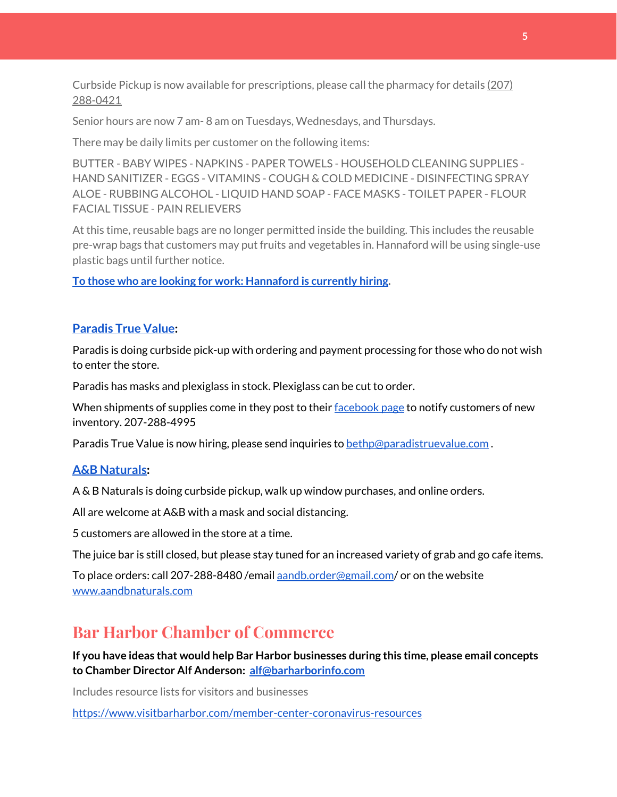Curbside Pickup is now available for prescriptions, please call the pharmacy for details [\(207\)](https://www.google.com/search?client=firefox-b-1-d&q=hannaford+pharmacy+bar+harbor#) [288-0421](https://www.google.com/search?client=firefox-b-1-d&q=hannaford+pharmacy+bar+harbor#)

Senior hours are now 7 am- 8 am on Tuesdays, Wednesdays, and Thursdays.

There may be daily limits per customer on the following items:

BUTTER - BABY WIPES - NAPKINS - PAPER TOWELS - HOUSEHOLD CLEANING SUPPLIES - HAND SANITIZER - EGGS - VITAMINS - COUGH & COLD MEDICINE - DISINFECTING SPRAY ALOE - RUBBING ALCOHOL - LIQUID HAND SOAP - FACE MASKS - TOILET PAPER - FLOUR FACIAL TISSUE - PAIN RELIEVERS

At this time, reusable bags are no longer permitted inside the building. This includes the reusable pre-wrap bags that customers may put fruits and vegetables in. Hannaford will be using single-use plastic bags until further notice.

**To those who are looking for work: [Hannaford](https://www.hannaford.com/about-us/careers) is currently hiring.**

#### **[Paradis](https://www.facebook.com/ParadisTrueValue/) True Value:**

Paradis is doing curbside pick-up with ordering and payment processing for those who do not wish to enter the store.

Paradis has masks and plexiglass in stock. Plexiglass can be cut to order.

When shipments of supplies come in they post to their [facebook](https://www.facebook.com/ParadisTrueValue/) page to notify customers of new inventory. 207-288-4995

Paradis True Value is now hiring, please send inquiries to [bethp@paradistruevalue.com](mailto:bethp@paradistruevalue.com) .

#### **A&B [Naturals:](http://aandbnaturals.com/)**

A & B Naturals is doing curbside pickup, walk up window purchases, and online orders.

All are welcome at A&B with a mask and social distancing.

5 customers are allowed in the store at a time.

The juice bar is still closed, but please stay tuned for an increased variety of grab and go cafe items.

To place orders: call 207-288-8480 /email [aandb.order@gmail.com](mailto:aandb.order@gmail.com)/ or on the website [www.aandbnaturals.com](http://www.aandbnaturals.com/)

### **Bar Harbor Chamber of Commerce**

**If you have ideas that would help Bar Harbor businesses during this time, please email concepts to Chamber Director Alf Anderson: [alf@barharborinfo.com](mailto:alf@barharborinfo.com)**

Includes resource lists for visitors and businesses

<https://www.visitbarharbor.com/member-center-coronavirus-resources>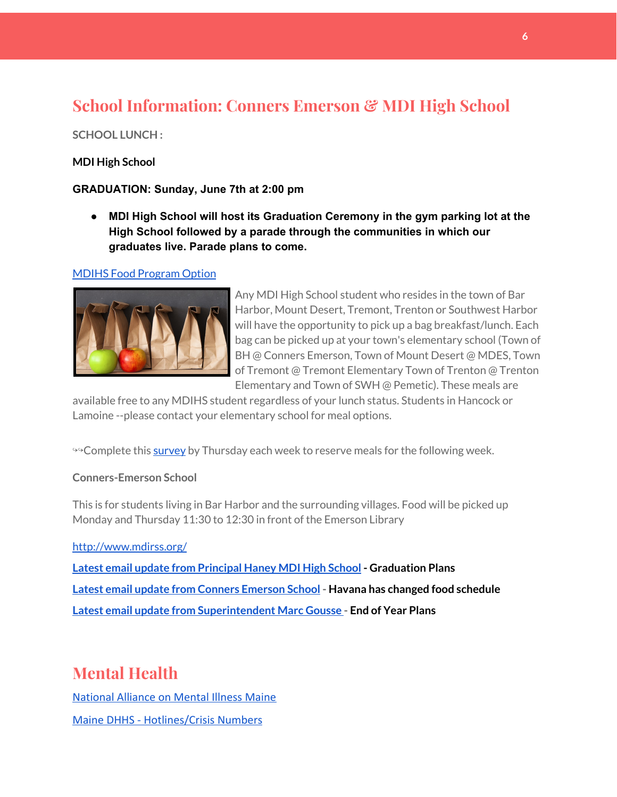# **School Information: Conners Emerson & MDI High School**

#### **SCHOOL LUNCH :**

#### **MDI High School**

#### **GRADUATION: Sunday, June 7th at 2:00 pm**

**● MDI High School will host its Graduation Ceremony in the gym parking lot at the High School followed by a parade through the communities in which our graduates live. Parade plans to come.**

#### MDIHS Food [Program](http://www.createsurvey.com/c/83380-7yUuuZ/) Option



Any MDI High School student who resides in the town of Bar Harbor, Mount Desert, Tremont, Trenton or Southwest Harbor will have the opportunity to pick up a bag breakfast/lunch. Each bag can be picked up at your town's elementary school (Town of BH @ Conners Emerson, Town of Mount Desert @ MDES, Town of Tremont @ Tremont Elementary Town of Trenton @ Trenton Elementary and Town of SWH @ Pemetic). These meals are

available free to any MDIHS student regardless of your lunch status. Students in Hancock or Lamoine --please contact your elementary school for meal options.

<sup>99</sup> Complete this [survey](http://www.createsurvey.com/c/83380-7yUuuZ/) by Thursday each week to reserve meals for the following week.

#### **Conners-Emerson School**

This is for students living in Bar Harbor and the surrounding villages. Food will be picked up Monday and Thursday 11:30 to 12:30 in front of the Emerson Library

<http://www.mdirss.org/> **Latest email update from [Principal](https://docs.google.com/document/d/1OKDsYNtOgV0FI9xAcXwQvenOKLV0S2vBg1o5jtu5CrE/edit?usp=sharing) Haney MDI High School - Graduation Plans Latest email update from Conners [Emerson](https://docs.google.com/document/d/1v3pgkG6Q-9S3gisuUIj4etPVDwgBKl4P00JBkvZr-kk/edit?usp=sharing) School - Havana has changed food schedule Latest email update from [Superintendent](https://docs.google.com/document/d/1fzeCbc8gpTSKmUaDoQH1Avx5PVl-h0reFphXrT1eUNA/edit?usp=sharing) Marc Gousse - End of Year Plans**

## **Mental Health**

[National Alliance on Mental Illness Maine](https://www.namimaine.org/) [Maine DHHS - Hotlines/Crisis Numbers](https://www.maine.gov/dhhs/hotlines.shtml)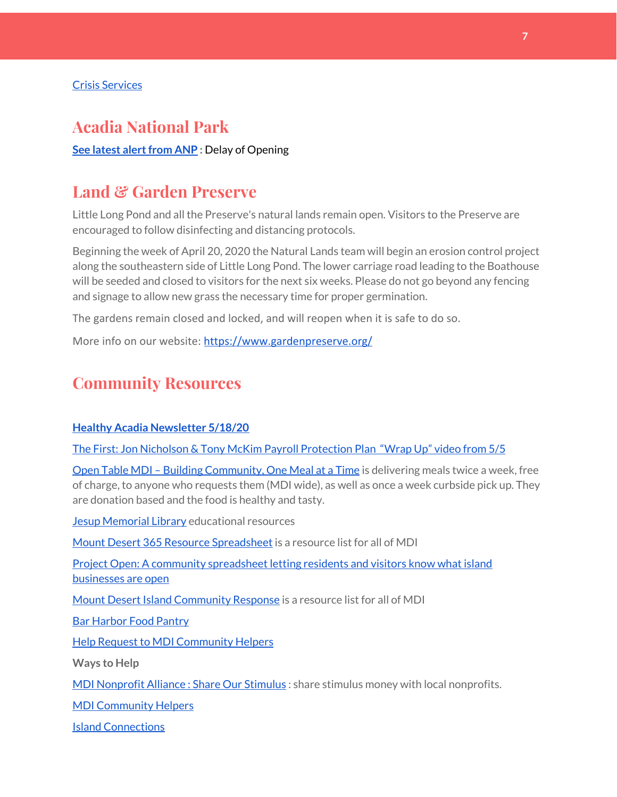## **Acadia National Park**

**See latest alert from ANP** : Delay of Opening

## **Land & Garden Preserve**

Little Long Pond and all the Preserve's natural lands remain open. Visitors to the Preserve are encouraged to follow disinfecting and distancing protocols.

Beginning the week of April 20, 2020 the Natural Lands team will begin an erosion control project along the southeastern side of Little Long Pond. The lower carriage road leading to the Boathouse will be seeded and closed to visitors for the next six weeks. Please do not go beyond any fencing and signage to allow new grass the necessary time for proper germination.

The gardens remain closed and locked, and will reopen when it is safe to do so.

More info on our website: <https://www.gardenpreserve.org/>

## **Community Resources**

#### **Healthy Acadia [Newsletter](https://mailchi.mp/healthyacadia.org/may18_2020) 5/18/20**

The First: Jon Nicholson & Tony McKim Payroll [Protection](https://bit.ly/2WjDrd0) Plan "Wrap Up" video from 5/5

Open Table MDI – Building [Community,](https://www.opentablemdi.org/) One Meal at a Time is delivering meals twice a week, free of charge, to anyone who requests them (MDI wide), as well as once a week curbside pick up. They are donation based and the food is healthy and tasty.

Jesup [Memorial](https://jesuplibrary.org/) Library educational resources

Mount Desert 365 Resource [Spreadsheet](https://docs.google.com/spreadsheets/d/1okAx6HSsgXZY9CGH07Dzi6rqe7a6m4dLCPKot2Li7Ek/edit?usp=sharing) is a resource list for all of MDI

Project Open: A community [spreadsheet](https://docs.google.com/spreadsheets/d/1dBicBiBXGzzWEFd9oqL7EBDbFWjDCPl6SSMea_Kt4pc/htmlview#) letting residents and visitors know what island [businesses](https://docs.google.com/spreadsheets/d/1dBicBiBXGzzWEFd9oqL7EBDbFWjDCPl6SSMea_Kt4pc/htmlview#) are open

Mount Desert Island [Community](https://www.mdicr.org/) Response is a resource list for all of MDI

Bar [Harbor](https://www.barharborfoodpantry.org/) Food Pantry

Help Request to MDI [Community](https://docs.google.com/forms/d/e/1FAIpQLSeZfu0tCcthHc9oL7tPomVRdniYiE7nbT_kkK9iCSRgqDhOvQ/viewform) Helpers

**Ways to Help**

MDI [Nonprofit](https://sites.google.com/mdina.org/public/sos-mdi?authuser=0) Alliance : Share Our Stimulus : share stimulus money with local nonprofits.

MDI [Community](https://docs.google.com/forms/d/e/1FAIpQLSe_CJUFdVvwJkmymWRqUeK8bx3m7n4uSOuUPYHqXSAyH2DBoQ/viewform?fbclid=IwAR25hjnWGhnMP0lOWMcBPRBumhtQCJGZO4hlk-T-VjNGZljL1kVX5pWrL6U) Helpers

Island [Connections](http://islconnections.org/contact-us/)